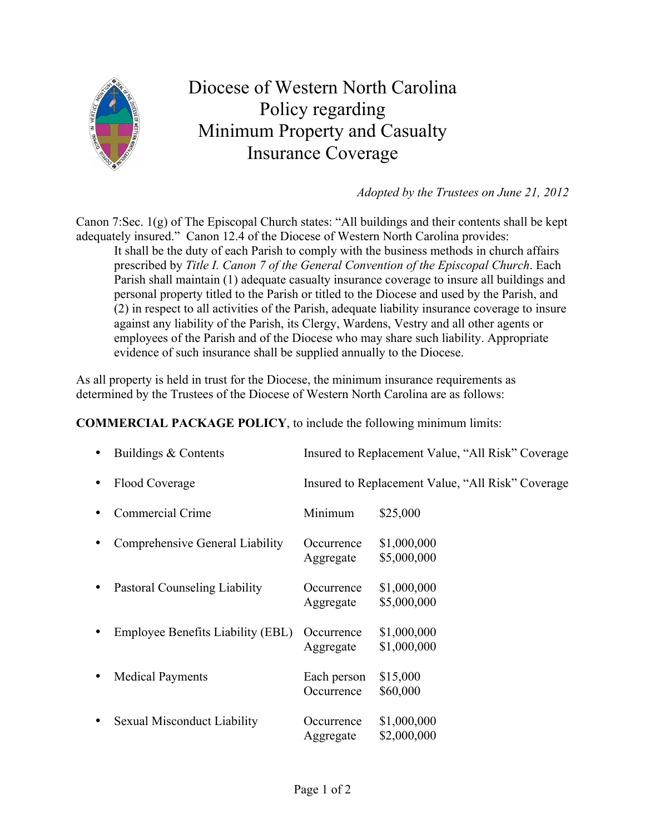

## Diocese of Western North Carolina Policy regarding Minimum Property and Casualty Insurance Coverage

*Adopted by the Trustees on June 21, 2012*

Canon 7:Sec. 1(g) of The Episcopal Church states: "All buildings and their contents shall be kept adequately insured." Canon 12.4 of the Diocese of Western North Carolina provides:

It shall be the duty of each Parish to comply with the business methods in church affairs prescribed by *Title I. Canon 7 of the General Convention of the Episcopal Church*. Each Parish shall maintain (1) adequate casualty insurance coverage to insure all buildings and personal property titled to the Parish or titled to the Diocese and used by the Parish, and (2) in respect to all activities of the Parish, adequate liability insurance coverage to insure against any liability of the Parish, its Clergy, Wardens, Vestry and all other agents or employees of the Parish and of the Diocese who may share such liability. Appropriate evidence of such insurance shall be supplied annually to the Diocese.

As all property is held in trust for the Diocese, the minimum insurance requirements as determined by the Trustees of the Diocese of Western North Carolina are as follows:

**COMMERCIAL PACKAGE POLICY**, to include the following minimum limits:

| Buildings & Contents              | Insured to Replacement Value, "All Risk" Coverage |                                                   |
|-----------------------------------|---------------------------------------------------|---------------------------------------------------|
| Flood Coverage                    |                                                   | Insured to Replacement Value, "All Risk" Coverage |
| Commercial Crime                  | Minimum                                           | \$25,000                                          |
| Comprehensive General Liability   | Occurrence<br>Aggregate                           | \$1,000,000<br>\$5,000,000                        |
| Pastoral Counseling Liability     | Occurrence<br>Aggregate                           | \$1,000,000<br>\$5,000,000                        |
| Employee Benefits Liability (EBL) | Occurrence<br>Aggregate                           | \$1,000,000<br>\$1,000,000                        |
| <b>Medical Payments</b>           | Each person<br>Occurrence                         | \$15,000<br>\$60,000                              |
| Sexual Misconduct Liability       | Occurrence<br>Aggregate                           | \$1,000,000<br>\$2,000,000                        |